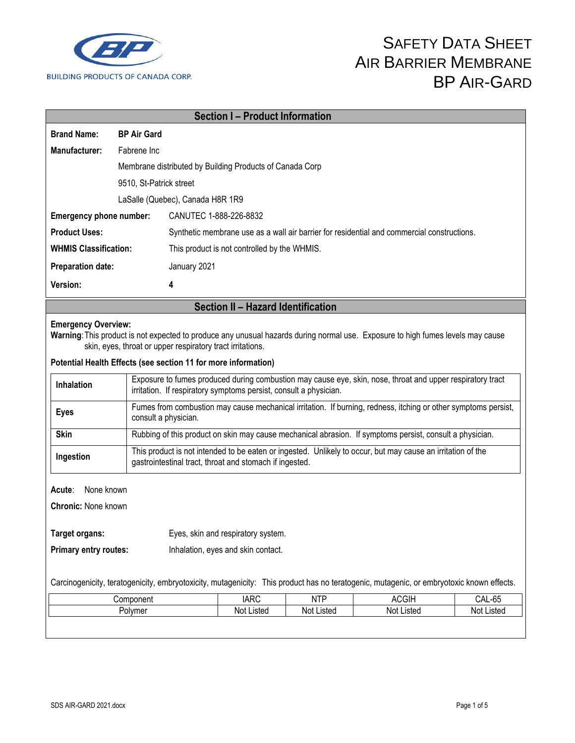

# SAFETY DATA SHEET AIR BARRIER MEMBRANE BP AIR-GARD

| <b>Section I - Product Information</b>                                                                                                                                                                                                                                                        |                         |                                                                                                                                                                                 |                                              |            |                                                                                            |        |
|-----------------------------------------------------------------------------------------------------------------------------------------------------------------------------------------------------------------------------------------------------------------------------------------------|-------------------------|---------------------------------------------------------------------------------------------------------------------------------------------------------------------------------|----------------------------------------------|------------|--------------------------------------------------------------------------------------------|--------|
| <b>Brand Name:</b>                                                                                                                                                                                                                                                                            | <b>BP Air Gard</b>      |                                                                                                                                                                                 |                                              |            |                                                                                            |        |
| Manufacturer:                                                                                                                                                                                                                                                                                 | Fabrene Inc             |                                                                                                                                                                                 |                                              |            |                                                                                            |        |
|                                                                                                                                                                                                                                                                                               |                         | Membrane distributed by Building Products of Canada Corp                                                                                                                        |                                              |            |                                                                                            |        |
|                                                                                                                                                                                                                                                                                               | 9510, St-Patrick street |                                                                                                                                                                                 |                                              |            |                                                                                            |        |
|                                                                                                                                                                                                                                                                                               |                         | LaSalle (Quebec), Canada H8R 1R9                                                                                                                                                |                                              |            |                                                                                            |        |
| Emergency phone number:                                                                                                                                                                                                                                                                       |                         | CANUTEC 1-888-226-8832                                                                                                                                                          |                                              |            |                                                                                            |        |
| <b>Product Uses:</b>                                                                                                                                                                                                                                                                          |                         |                                                                                                                                                                                 |                                              |            | Synthetic membrane use as a wall air barrier for residential and commercial constructions. |        |
| <b>WHMIS Classification:</b>                                                                                                                                                                                                                                                                  |                         |                                                                                                                                                                                 | This product is not controlled by the WHMIS. |            |                                                                                            |        |
| <b>Preparation date:</b>                                                                                                                                                                                                                                                                      |                         | January 2021                                                                                                                                                                    |                                              |            |                                                                                            |        |
| Version:                                                                                                                                                                                                                                                                                      |                         | 4                                                                                                                                                                               |                                              |            |                                                                                            |        |
|                                                                                                                                                                                                                                                                                               |                         |                                                                                                                                                                                 | Section II - Hazard Identification           |            |                                                                                            |        |
| <b>Emergency Overview:</b><br>Warning: This product is not expected to produce any unusual hazards during normal use. Exposure to high fumes levels may cause<br>skin, eyes, throat or upper respiratory tract irritations.<br>Potential Health Effects (see section 11 for more information) |                         |                                                                                                                                                                                 |                                              |            |                                                                                            |        |
| <b>Inhalation</b>                                                                                                                                                                                                                                                                             |                         | Exposure to fumes produced during combustion may cause eye, skin, nose, throat and upper respiratory tract<br>irritation. If respiratory symptoms persist, consult a physician. |                                              |            |                                                                                            |        |
| <b>Eyes</b>                                                                                                                                                                                                                                                                                   |                         | Fumes from combustion may cause mechanical irritation. If burning, redness, itching or other symptoms persist,<br>consult a physician.                                          |                                              |            |                                                                                            |        |
| <b>Skin</b>                                                                                                                                                                                                                                                                                   |                         | Rubbing of this product on skin may cause mechanical abrasion. If symptoms persist, consult a physician.                                                                        |                                              |            |                                                                                            |        |
| Ingestion                                                                                                                                                                                                                                                                                     |                         | This product is not intended to be eaten or ingested. Unlikely to occur, but may cause an irritation of the<br>gastrointestinal tract, throat and stomach if ingested.          |                                              |            |                                                                                            |        |
| None known<br>Acute:<br><b>Chronic: None known</b><br>Eyes, skin and respiratory system.<br>Target organs:                                                                                                                                                                                    |                         |                                                                                                                                                                                 |                                              |            |                                                                                            |        |
| Primary entry routes:<br>Inhalation, eyes and skin contact.<br>Carcinogenicity, teratogenicity, embryotoxicity, mutagenicity: This product has no teratogenic, mutagenic, or embryotoxic known effects.                                                                                       |                         |                                                                                                                                                                                 |                                              |            |                                                                                            |        |
| Component                                                                                                                                                                                                                                                                                     |                         |                                                                                                                                                                                 | <b>IARC</b>                                  | <b>NTP</b> | <b>ACGIH</b>                                                                               | CAL-65 |
| Polymer                                                                                                                                                                                                                                                                                       |                         | Not Listed                                                                                                                                                                      | Not Listed                                   | Not Listed | Not Listed                                                                                 |        |
|                                                                                                                                                                                                                                                                                               |                         |                                                                                                                                                                                 |                                              |            |                                                                                            |        |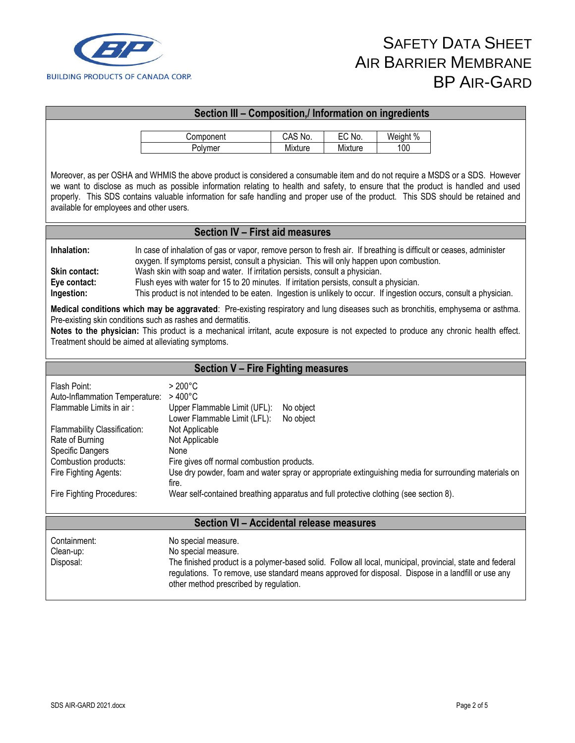

## **Section III – Composition,/ Information on ingredients** Component | CAS No. | EC No. | Weight % Polymer 1 Mixture Mixture 1 100 Moreover, as per OSHA and WHMIS the above product is considered a consumable item and do not require a MSDS or a SDS. However we want to disclose as much as possible information relating to health and safety, to ensure that the product is handled and used properly. This SDS contains valuable information for safe handling and proper use of the product. This SDS should be retained and available for employees and other users. **Section IV – First aid measures Inhalation:** In case of inhalation of gas or vapor, remove person to fresh air. If breathing is difficult or ceases, administer oxygen. If symptoms persist, consult a physician. This will only happen upon combustion. **Skin contact:** Wash skin with soap and water. If irritation persists, consult a physician. **Eye contact:** Flush eyes with water for 15 to 20 minutes. If irritation persists, consult a physician. **Ingestion:** This product is not intended to be eaten. Ingestion is unlikely to occur. If ingestion occurs, consult a physician. **Medical conditions which may be aggravated**: Pre-existing respiratory and lung diseases such as bronchitis, emphysema or asthma. Pre-existing skin conditions such as rashes and dermatitis. **Notes to the physician:** This product is a mechanical irritant, acute exposure is not expected to produce any chronic health effect. Treatment should be aimed at alleviating symptoms. **Section V – Fire Fighting measures** Flash Point: > 200°C Auto-Inflammation Temperature: > 400°C<br>Flammable Limits in air: Upper Fl Upper Flammable Limit (UFL): No object Lower Flammable Limit (LFL): No object Flammability Classification: Not Applicable<br>Rate of Burning Not Applicable Rate of Burning Specific Dangers None Combustion products:<br>
Fire gives off normal combustion products. Fire Fighting Agents: Use dry powder, foam and water spray or appropriate extinguishing media for surrounding materials on fire. Fire Fighting Procedures: Wear self-contained breathing apparatus and full protective clothing (see section 8). **Section VI – Accidental release measures** Containment: No special measure. Clean-up: No special measure. Disposal: The finished product is a polymer-based solid. Follow all local, municipal, provincial, state and federal regulations. To remove, use standard means approved for disposal. Dispose in a landfill or use any other method prescribed by regulation.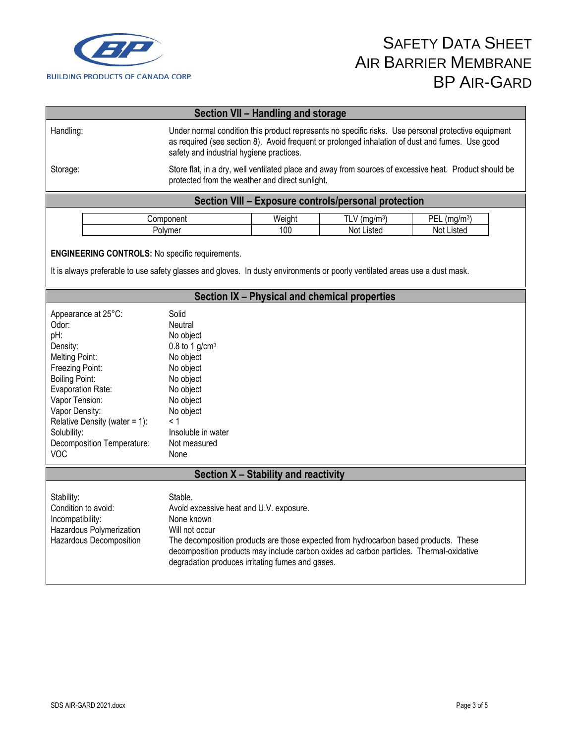

| Section VII - Handling and storage                   |                                                                                                                                                                                                                                                    |        |                            |                            |  |  |
|------------------------------------------------------|----------------------------------------------------------------------------------------------------------------------------------------------------------------------------------------------------------------------------------------------------|--------|----------------------------|----------------------------|--|--|
| Handling:                                            | Under normal condition this product represents no specific risks. Use personal protective equipment<br>as required (see section 8). Avoid frequent or prolonged inhalation of dust and fumes. Use good<br>safety and industrial hygiene practices. |        |                            |                            |  |  |
| Storage:                                             | Store flat, in a dry, well ventilated place and away from sources of excessive heat. Product should be<br>protected from the weather and direct sunlight.                                                                                          |        |                            |                            |  |  |
| Section VIII - Exposure controls/personal protection |                                                                                                                                                                                                                                                    |        |                            |                            |  |  |
|                                                      | Component                                                                                                                                                                                                                                          | Weight | $TLV$ (mg/m <sup>3</sup> ) | $PEL$ (mg/m <sup>3</sup> ) |  |  |
|                                                      | Polymer                                                                                                                                                                                                                                            |        | Not Listed                 | Not Listed                 |  |  |

### **ENGINEERING CONTROLS:** No specific requirements.

It is always preferable to use safety glasses and gloves. In dusty environments or poorly ventilated areas use a dust mask.

| Section IX - Physical and chemical properties |                                                                                         |  |
|-----------------------------------------------|-----------------------------------------------------------------------------------------|--|
| Appearance at 25°C:                           | Solid                                                                                   |  |
| Odor:                                         | Neutral                                                                                 |  |
| pH:                                           | No object                                                                               |  |
| Density:                                      | 0.8 to 1 $g/cm3$                                                                        |  |
| Melting Point:                                | No object                                                                               |  |
| Freezing Point:                               | No object                                                                               |  |
| <b>Boiling Point:</b>                         | No object                                                                               |  |
| Evaporation Rate:                             | No object                                                                               |  |
| Vapor Tension:                                | No object                                                                               |  |
| Vapor Density:                                | No object                                                                               |  |
| Relative Density (water = $1$ ):              | < 1                                                                                     |  |
| Solubility:                                   | Insoluble in water                                                                      |  |
| Decomposition Temperature:                    | Not measured                                                                            |  |
| <b>VOC</b>                                    | None                                                                                    |  |
|                                               | Section X – Stability and reactivity                                                    |  |
|                                               |                                                                                         |  |
| Stability:                                    | Stable.                                                                                 |  |
| Condition to avoid:                           | Avoid excessive heat and U.V. exposure.                                                 |  |
| Incompatibility:                              | None known                                                                              |  |
| Hazardous Polymerization                      | Will not occur                                                                          |  |
| Hazardous Decomposition                       | The decomposition products are those expected from hydrocarbon based products. These    |  |
|                                               | decomposition products may include carbon oxides ad carbon particles. Thermal-oxidative |  |
|                                               | degradation produces irritating fumes and gases.                                        |  |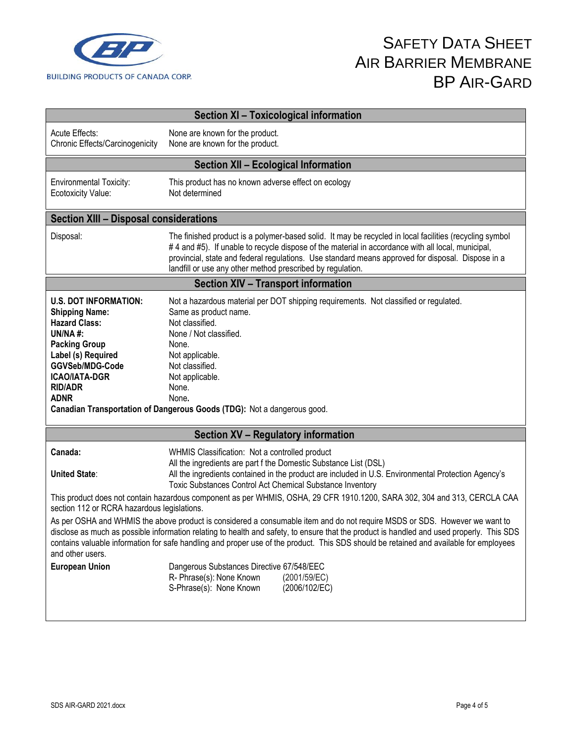

| Section XI - Toxicological information                                                                                                                                                                                    |                                                                                                                                                                                                                                                                                                                                                                                                                   |  |  |  |
|---------------------------------------------------------------------------------------------------------------------------------------------------------------------------------------------------------------------------|-------------------------------------------------------------------------------------------------------------------------------------------------------------------------------------------------------------------------------------------------------------------------------------------------------------------------------------------------------------------------------------------------------------------|--|--|--|
| Acute Effects:<br>Chronic Effects/Carcinogenicity                                                                                                                                                                         | None are known for the product.<br>None are known for the product.                                                                                                                                                                                                                                                                                                                                                |  |  |  |
|                                                                                                                                                                                                                           | <b>Section XII - Ecological Information</b>                                                                                                                                                                                                                                                                                                                                                                       |  |  |  |
| <b>Environmental Toxicity:</b><br>Ecotoxicity Value:                                                                                                                                                                      | This product has no known adverse effect on ecology<br>Not determined                                                                                                                                                                                                                                                                                                                                             |  |  |  |
| <b>Section XIII - Disposal considerations</b>                                                                                                                                                                             |                                                                                                                                                                                                                                                                                                                                                                                                                   |  |  |  |
| Disposal:                                                                                                                                                                                                                 | The finished product is a polymer-based solid. It may be recycled in local facilities (recycling symbol<br>#4 and #5). If unable to recycle dispose of the material in accordance with all local, municipal,<br>provincial, state and federal regulations. Use standard means approved for disposal. Dispose in a<br>landfill or use any other method prescribed by regulation.                                   |  |  |  |
|                                                                                                                                                                                                                           | <b>Section XIV - Transport information</b>                                                                                                                                                                                                                                                                                                                                                                        |  |  |  |
| <b>U.S. DOT INFORMATION:</b><br><b>Shipping Name:</b><br><b>Hazard Class:</b><br><b>UN/NA#:</b><br><b>Packing Group</b><br>Label (s) Required<br>GGVSeb/MDG-Code<br><b>ICAO/IATA-DGR</b><br><b>RID/ADR</b><br><b>ADNR</b> | Not a hazardous material per DOT shipping requirements. Not classified or regulated.<br>Same as product name.<br>Not classified.<br>None / Not classified.<br>None.<br>Not applicable.<br>Not classified.<br>Not applicable.<br>None.<br>None.<br>Canadian Transportation of Dangerous Goods (TDG): Not a dangerous good.                                                                                         |  |  |  |
|                                                                                                                                                                                                                           | Section XV - Regulatory information                                                                                                                                                                                                                                                                                                                                                                               |  |  |  |
| Canada:<br><b>United State:</b>                                                                                                                                                                                           | WHMIS Classification: Not a controlled product<br>All the ingredients are part f the Domestic Substance List (DSL)<br>All the ingredients contained in the product are included in U.S. Environmental Protection Agency's<br>Toxic Substances Control Act Chemical Substance Inventory                                                                                                                            |  |  |  |
| section 112 or RCRA hazardous legislations.                                                                                                                                                                               | This product does not contain hazardous component as per WHMIS, OSHA, 29 CFR 1910.1200, SARA 302, 304 and 313, CERCLA CAA                                                                                                                                                                                                                                                                                         |  |  |  |
| and other users.                                                                                                                                                                                                          | As per OSHA and WHMIS the above product is considered a consumable item and do not require MSDS or SDS. However we want to<br>disclose as much as possible information relating to health and safety, to ensure that the product is handled and used properly. This SDS<br>contains valuable information for safe handling and proper use of the product. This SDS should be retained and available for employees |  |  |  |
| <b>European Union</b>                                                                                                                                                                                                     | Dangerous Substances Directive 67/548/EEC<br>R- Phrase(s): None Known<br>(2001/59/EC)<br>S-Phrase(s): None Known<br>(2006/102/EC)                                                                                                                                                                                                                                                                                 |  |  |  |